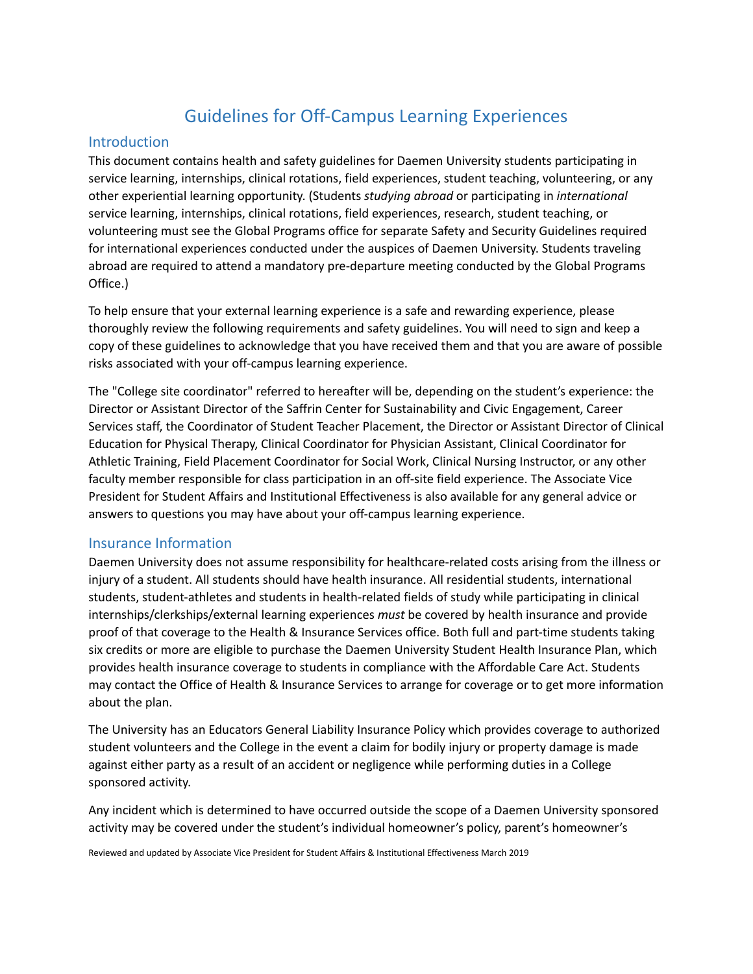# Guidelines for Off-Campus Learning Experiences

#### Introduction

This document contains health and safety guidelines for Daemen University students participating in service learning, internships, clinical rotations, field experiences, student teaching, volunteering, or any other experiential learning opportunity. (Students *studying abroad* or participating in *international* service learning, internships, clinical rotations, field experiences, research, student teaching, or volunteering must see the Global Programs office for separate Safety and Security Guidelines required for international experiences conducted under the auspices of Daemen University. Students traveling abroad are required to attend a mandatory pre-departure meeting conducted by the Global Programs Office.)

To help ensure that your external learning experience is a safe and rewarding experience, please thoroughly review the following requirements and safety guidelines. You will need to sign and keep a copy of these guidelines to acknowledge that you have received them and that you are aware of possible risks associated with your off-campus learning experience.

The "College site coordinator" referred to hereafter will be, depending on the student's experience: the Director or Assistant Director of the Saffrin Center for Sustainability and Civic Engagement, Career Services staff, the Coordinator of Student Teacher Placement, the Director or Assistant Director of Clinical Education for Physical Therapy, Clinical Coordinator for Physician Assistant, Clinical Coordinator for Athletic Training, Field Placement Coordinator for Social Work, Clinical Nursing Instructor, or any other faculty member responsible for class participation in an off-site field experience. The Associate Vice President for Student Affairs and Institutional Effectiveness is also available for any general advice or answers to questions you may have about your off-campus learning experience.

#### Insurance Information

Daemen University does not assume responsibility for healthcare-related costs arising from the illness or injury of a student. All students should have health insurance. All residential students, international students, student-athletes and students in health-related fields of study while participating in clinical internships/clerkships/external learning experiences *must* be covered by health insurance and provide proof of that coverage to the Health & Insurance Services office. Both full and part-time students taking six credits or more are eligible to purchase the Daemen University Student Health Insurance Plan, which provides health insurance coverage to students in compliance with the Affordable Care Act. Students may contact the Office of Health & Insurance Services to arrange for coverage or to get more information about the plan.

The University has an Educators General Liability Insurance Policy which provides coverage to authorized student volunteers and the College in the event a claim for bodily injury or property damage is made against either party as a result of an accident or negligence while performing duties in a College sponsored activity.

Any incident which is determined to have occurred outside the scope of a Daemen University sponsored activity may be covered under the student's individual homeowner's policy, parent's homeowner's

Reviewed and updated by Associate Vice President for Student Affairs & Institutional Effectiveness March 2019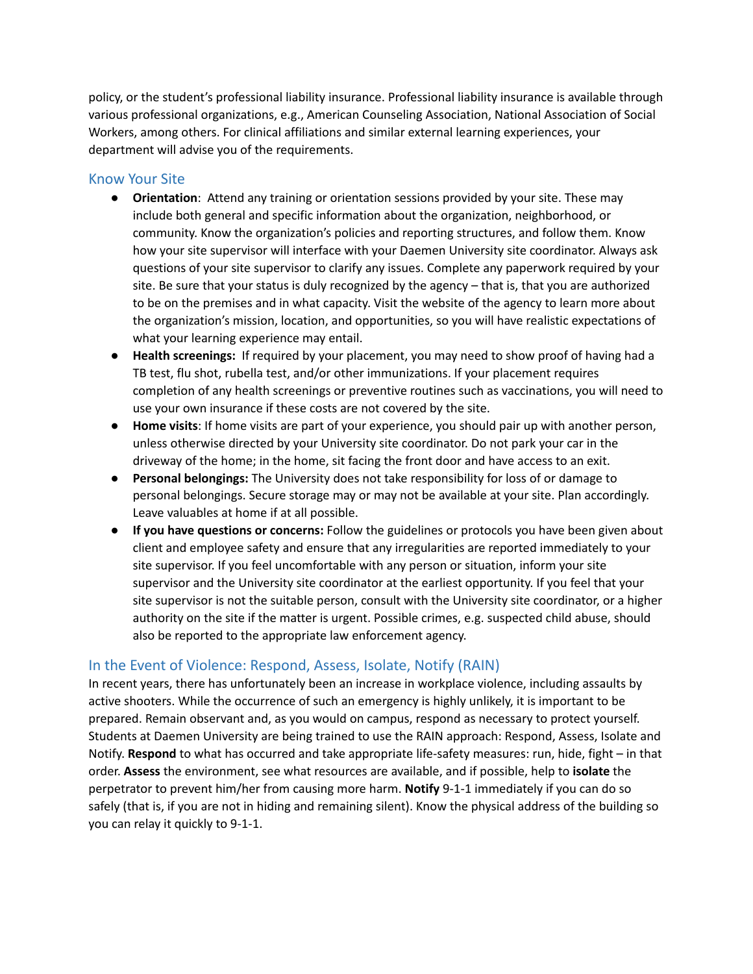policy, or the student's professional liability insurance. Professional liability insurance is available through various professional organizations, e.g., American Counseling Association, National Association of Social Workers, among others. For clinical affiliations and similar external learning experiences, your department will advise you of the requirements.

## Know Your Site

- **Orientation**: Attend any training or orientation sessions provided by your site. These may include both general and specific information about the organization, neighborhood, or community. Know the organization's policies and reporting structures, and follow them. Know how your site supervisor will interface with your Daemen University site coordinator. Always ask questions of your site supervisor to clarify any issues. Complete any paperwork required by your site. Be sure that your status is duly recognized by the agency – that is, that you are authorized to be on the premises and in what capacity. Visit the website of the agency to learn more about the organization's mission, location, and opportunities, so you will have realistic expectations of what your learning experience may entail.
- **Health screenings:** If required by your placement, you may need to show proof of having had a TB test, flu shot, rubella test, and/or other immunizations. If your placement requires completion of any health screenings or preventive routines such as vaccinations, you will need to use your own insurance if these costs are not covered by the site.
- **Home visits**: If home visits are part of your experience, you should pair up with another person, unless otherwise directed by your University site coordinator. Do not park your car in the driveway of the home; in the home, sit facing the front door and have access to an exit.
- **Personal belongings:** The University does not take responsibility for loss of or damage to personal belongings. Secure storage may or may not be available at your site. Plan accordingly. Leave valuables at home if at all possible.
- **If you have questions or concerns:** Follow the guidelines or protocols you have been given about client and employee safety and ensure that any irregularities are reported immediately to your site supervisor. If you feel uncomfortable with any person or situation, inform your site supervisor and the University site coordinator at the earliest opportunity. If you feel that your site supervisor is not the suitable person, consult with the University site coordinator, or a higher authority on the site if the matter is urgent. Possible crimes, e.g. suspected child abuse, should also be reported to the appropriate law enforcement agency.

# In the Event of Violence: Respond, Assess, Isolate, Notify (RAIN)

In recent years, there has unfortunately been an increase in workplace violence, including assaults by active shooters. While the occurrence of such an emergency is highly unlikely, it is important to be prepared. Remain observant and, as you would on campus, respond as necessary to protect yourself. Students at Daemen University are being trained to use the RAIN approach: Respond, Assess, Isolate and Notify. **Respond** to what has occurred and take appropriate life-safety measures: run, hide, fight – in that order. **Assess** the environment, see what resources are available, and if possible, help to **isolate** the perpetrator to prevent him/her from causing more harm. **Notify** 9-1-1 immediately if you can do so safely (that is, if you are not in hiding and remaining silent). Know the physical address of the building so you can relay it quickly to 9-1-1.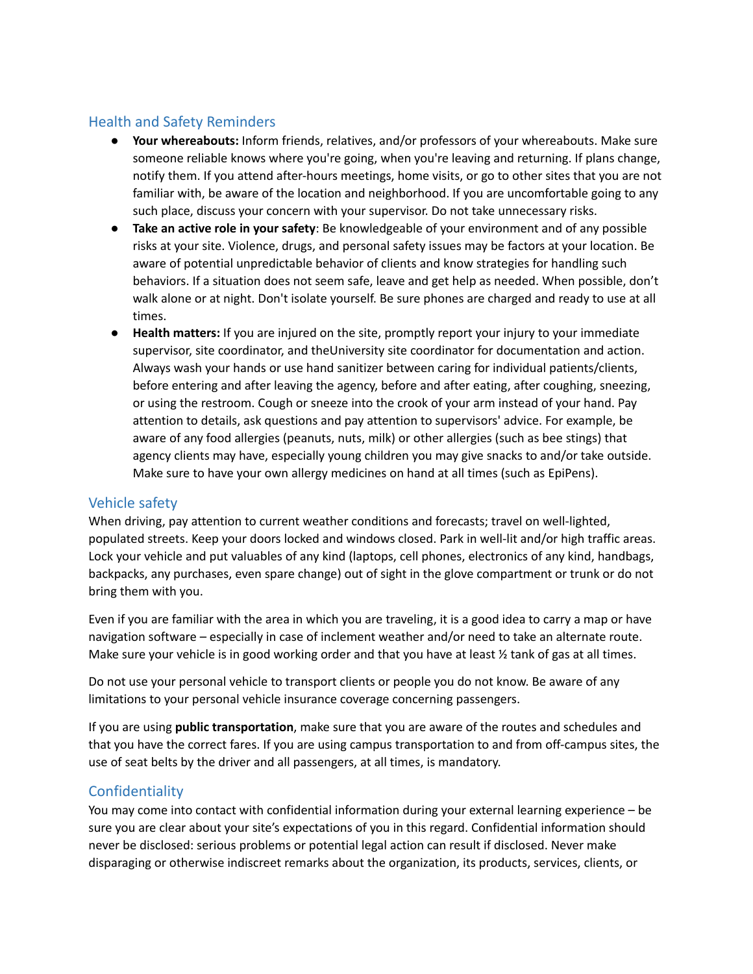# Health and Safety Reminders

- **Your whereabouts:** Inform friends, relatives, and/or professors of your whereabouts. Make sure someone reliable knows where you're going, when you're leaving and returning. If plans change, notify them. If you attend after-hours meetings, home visits, or go to other sites that you are not familiar with, be aware of the location and neighborhood. If you are uncomfortable going to any such place, discuss your concern with your supervisor. Do not take unnecessary risks.
- **Take an active role in your safety**: Be knowledgeable of your environment and of any possible risks at your site. Violence, drugs, and personal safety issues may be factors at your location. Be aware of potential unpredictable behavior of clients and know strategies for handling such behaviors. If a situation does not seem safe, leave and get help as needed. When possible, don't walk alone or at night. Don't isolate yourself. Be sure phones are charged and ready to use at all times.
- **Health matters:** If you are injured on the site, promptly report your injury to your immediate supervisor, site coordinator, and theUniversity site coordinator for documentation and action. Always wash your hands or use hand sanitizer between caring for individual patients/clients, before entering and after leaving the agency, before and after eating, after coughing, sneezing, or using the restroom. Cough or sneeze into the crook of your arm instead of your hand. Pay attention to details, ask questions and pay attention to supervisors' advice. For example, be aware of any food allergies (peanuts, nuts, milk) or other allergies (such as bee stings) that agency clients may have, especially young children you may give snacks to and/or take outside. Make sure to have your own allergy medicines on hand at all times (such as EpiPens).

## Vehicle safety

When driving, pay attention to current weather conditions and forecasts; travel on well-lighted, populated streets. Keep your doors locked and windows closed. Park in well-lit and/or high traffic areas. Lock your vehicle and put valuables of any kind (laptops, cell phones, electronics of any kind, handbags, backpacks, any purchases, even spare change) out of sight in the glove compartment or trunk or do not bring them with you.

Even if you are familiar with the area in which you are traveling, it is a good idea to carry a map or have navigation software – especially in case of inclement weather and/or need to take an alternate route. Make sure your vehicle is in good working order and that you have at least  $\frac{1}{2}$  tank of gas at all times.

Do not use your personal vehicle to transport clients or people you do not know. Be aware of any limitations to your personal vehicle insurance coverage concerning passengers.

If you are using **public transportation**, make sure that you are aware of the routes and schedules and that you have the correct fares. If you are using campus transportation to and from off-campus sites, the use of seat belts by the driver and all passengers, at all times, is mandatory.

## **Confidentiality**

You may come into contact with confidential information during your external learning experience – be sure you are clear about your site's expectations of you in this regard. Confidential information should never be disclosed: serious problems or potential legal action can result if disclosed. Never make disparaging or otherwise indiscreet remarks about the organization, its products, services, clients, or